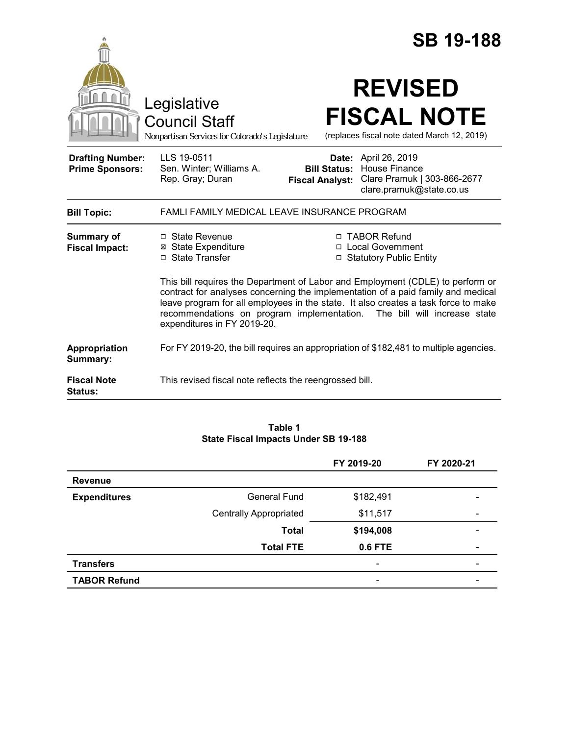|                                                   |                                                                                                                                                                                                                                                                                                                                                                    | <b>SB 19-188</b>                                                                                                                                     |  |  |
|---------------------------------------------------|--------------------------------------------------------------------------------------------------------------------------------------------------------------------------------------------------------------------------------------------------------------------------------------------------------------------------------------------------------------------|------------------------------------------------------------------------------------------------------------------------------------------------------|--|--|
|                                                   | Legislative<br><b>Council Staff</b><br>Nonpartisan Services for Colorado's Legislature                                                                                                                                                                                                                                                                             | <b>REVISED</b><br><b>FISCAL NOTE</b><br>(replaces fiscal note dated March 12, 2019)                                                                  |  |  |
| <b>Drafting Number:</b><br><b>Prime Sponsors:</b> | LLS 19-0511<br>Sen. Winter; Williams A.<br>Rep. Gray; Duran                                                                                                                                                                                                                                                                                                        | April 26, 2019<br>Date:<br>House Finance<br><b>Bill Status:</b><br>Clare Pramuk   303-866-2677<br><b>Fiscal Analyst:</b><br>clare.pramuk@state.co.us |  |  |
| <b>Bill Topic:</b>                                | FAMLI FAMILY MEDICAL LEAVE INSURANCE PROGRAM                                                                                                                                                                                                                                                                                                                       |                                                                                                                                                      |  |  |
| Summary of<br><b>Fiscal Impact:</b>               | □ State Revenue<br><b>⊠</b> State Expenditure<br>□ State Transfer                                                                                                                                                                                                                                                                                                  | □ TABOR Refund<br>□ Local Government<br>□ Statutory Public Entity                                                                                    |  |  |
|                                                   | This bill requires the Department of Labor and Employment (CDLE) to perform or<br>contract for analyses concerning the implementation of a paid family and medical<br>leave program for all employees in the state. It also creates a task force to make<br>recommendations on program implementation. The bill will increase state<br>expenditures in FY 2019-20. |                                                                                                                                                      |  |  |
| Appropriation<br>Summary:                         | For FY 2019-20, the bill requires an appropriation of \$182,481 to multiple agencies.                                                                                                                                                                                                                                                                              |                                                                                                                                                      |  |  |
| <b>Fiscal Note</b><br><b>Status:</b>              | This revised fiscal note reflects the reengrossed bill.                                                                                                                                                                                                                                                                                                            |                                                                                                                                                      |  |  |

#### **Table 1 State Fiscal Impacts Under SB 19-188**

|                     |                               | FY 2019-20               | FY 2020-21               |
|---------------------|-------------------------------|--------------------------|--------------------------|
| <b>Revenue</b>      |                               |                          |                          |
| <b>Expenditures</b> | <b>General Fund</b>           | \$182,491                |                          |
|                     | <b>Centrally Appropriated</b> | \$11,517                 | $\overline{\phantom{a}}$ |
|                     | <b>Total</b>                  | \$194,008                | $\qquad \qquad$          |
|                     | <b>Total FTE</b>              | 0.6 FTE                  | $\overline{\phantom{a}}$ |
| <b>Transfers</b>    |                               | $\overline{\phantom{a}}$ |                          |
| <b>TABOR Refund</b> |                               | $\overline{\phantom{0}}$ |                          |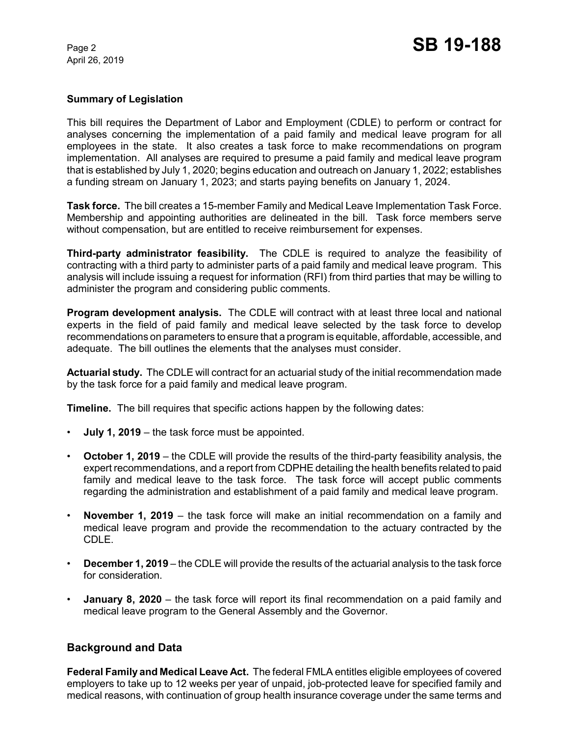April 26, 2019

### **Summary of Legislation**

This bill requires the Department of Labor and Employment (CDLE) to perform or contract for analyses concerning the implementation of a paid family and medical leave program for all employees in the state. It also creates a task force to make recommendations on program implementation. All analyses are required to presume a paid family and medical leave program that is established by July 1, 2020; begins education and outreach on January 1, 2022; establishes a funding stream on January 1, 2023; and starts paying benefits on January 1, 2024.

**Task force.** The bill creates a 15-member Family and Medical Leave Implementation Task Force. Membership and appointing authorities are delineated in the bill. Task force members serve without compensation, but are entitled to receive reimbursement for expenses.

**Third-party administrator feasibility.** The CDLE is required to analyze the feasibility of contracting with a third party to administer parts of a paid family and medical leave program. This analysis will include issuing a request for information (RFI) from third parties that may be willing to administer the program and considering public comments.

**Program development analysis.** The CDLE will contract with at least three local and national experts in the field of paid family and medical leave selected by the task force to develop recommendations on parameters to ensure that a program is equitable, affordable, accessible, and adequate. The bill outlines the elements that the analyses must consider.

**Actuarial study.** The CDLE will contract for an actuarial study of the initial recommendation made by the task force for a paid family and medical leave program.

**Timeline.** The bill requires that specific actions happen by the following dates:

- **July 1, 2019**  the task force must be appointed.
- **October 1, 2019**  the CDLE will provide the results of the third-party feasibility analysis, the expert recommendations, and a report from CDPHE detailing the health benefits related to paid family and medical leave to the task force. The task force will accept public comments regarding the administration and establishment of a paid family and medical leave program.
- **November 1, 2019**  the task force will make an initial recommendation on a family and medical leave program and provide the recommendation to the actuary contracted by the CDLE.
- **December 1, 2019**  the CDLE will provide the results of the actuarial analysis to the task force for consideration.
- **January 8, 2020** the task force will report its final recommendation on a paid family and medical leave program to the General Assembly and the Governor.

# **Background and Data**

**Federal Family and Medical Leave Act.** The federal FMLA entitles eligible employees of covered employers to take up to 12 weeks per year of unpaid, job-protected leave for specified family and medical reasons, with continuation of group health insurance coverage under the same terms and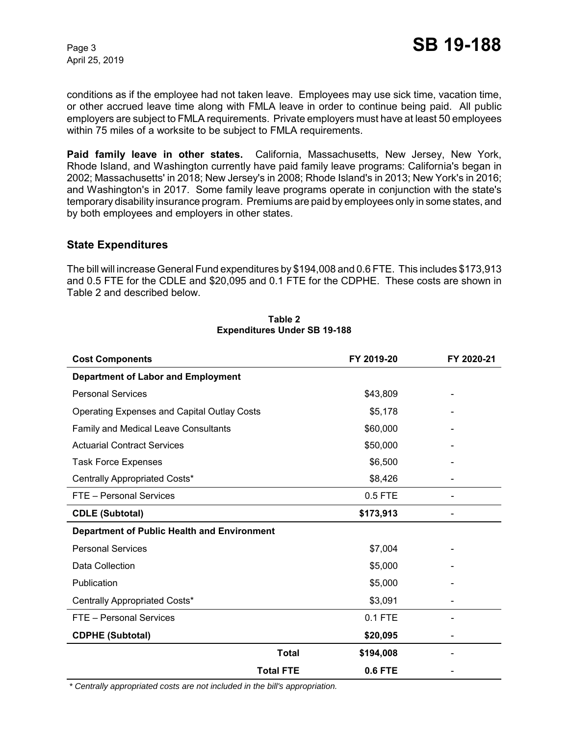April 25, 2019

conditions as if the employee had not taken leave. Employees may use sick time, vacation time, or other accrued leave time along with FMLA leave in order to continue being paid. All public employers are subject to FMLA requirements. Private employers must have at least 50 employees within 75 miles of a worksite to be subject to FMLA requirements.

**Paid family leave in other states.** California, Massachusetts, New Jersey, New York, Rhode Island, and Washington currently have paid family leave programs: California's began in 2002; Massachusetts' in 2018; New Jersey's in 2008; Rhode Island's in 2013; New York's in 2016; and Washington's in 2017. Some family leave programs operate in conjunction with the state's temporary disability insurance program. Premiums are paid by employees only in some states, and by both employees and employers in other states.

## **State Expenditures**

The bill will increase General Fund expenditures by \$194,008 and 0.6 FTE. This includes \$173,913 and 0.5 FTE for the CDLE and \$20,095 and 0.1 FTE for the CDPHE. These costs are shown in Table 2 and described below.

| <b>Cost Components</b>                             | FY 2019-20     | FY 2020-21 |  |  |
|----------------------------------------------------|----------------|------------|--|--|
| <b>Department of Labor and Employment</b>          |                |            |  |  |
| <b>Personal Services</b>                           | \$43,809       |            |  |  |
| <b>Operating Expenses and Capital Outlay Costs</b> | \$5,178        |            |  |  |
| Family and Medical Leave Consultants               | \$60,000       |            |  |  |
| <b>Actuarial Contract Services</b>                 | \$50,000       |            |  |  |
| <b>Task Force Expenses</b>                         | \$6,500        |            |  |  |
| Centrally Appropriated Costs*                      | \$8,426        |            |  |  |
| FTE - Personal Services                            | 0.5 FTE        |            |  |  |
| <b>CDLE (Subtotal)</b>                             | \$173,913      |            |  |  |
| Department of Public Health and Environment        |                |            |  |  |
| <b>Personal Services</b>                           | \$7,004        |            |  |  |
| Data Collection                                    | \$5,000        |            |  |  |
| Publication                                        | \$5,000        |            |  |  |
| Centrally Appropriated Costs*                      | \$3,091        |            |  |  |
| FTE - Personal Services                            | 0.1 FTE        |            |  |  |
| <b>CDPHE (Subtotal)</b>                            | \$20,095       |            |  |  |
| <b>Total</b>                                       | \$194,008      |            |  |  |
| <b>Total FTE</b>                                   | <b>0.6 FTE</b> |            |  |  |

#### **Table 2 Expenditures Under SB 19-188**

 *\* Centrally appropriated costs are not included in the bill's appropriation.*